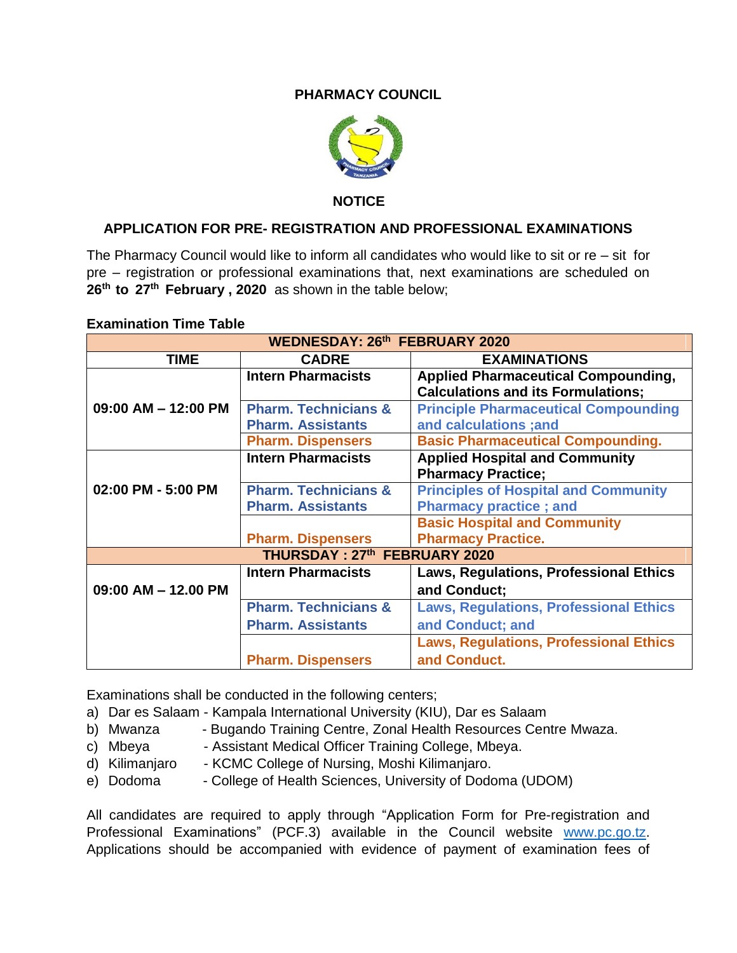## **PHARMACY COUNCIL**



 **NOTICE**

## **APPLICATION FOR PRE- REGISTRATION AND PROFESSIONAL EXAMINATIONS**

The Pharmacy Council would like to inform all candidates who would like to sit or re – sit for pre – registration or professional examinations that, next examinations are scheduled on **26th to 27th February , 2020** as shown in the table below;

| <b>WEDNESDAY: 26th FEBRUARY 2020</b> |                                 |                                               |
|--------------------------------------|---------------------------------|-----------------------------------------------|
| <b>TIME</b>                          | <b>CADRE</b>                    | <b>EXAMINATIONS</b>                           |
| $09:00$ AM $-$ 12:00 PM              | <b>Intern Pharmacists</b>       | <b>Applied Pharmaceutical Compounding,</b>    |
|                                      |                                 | <b>Calculations and its Formulations;</b>     |
|                                      | <b>Pharm. Technicians &amp;</b> | <b>Principle Pharmaceutical Compounding</b>   |
|                                      | <b>Pharm. Assistants</b>        | and calculations ;and                         |
|                                      | <b>Pharm. Dispensers</b>        | <b>Basic Pharmaceutical Compounding.</b>      |
|                                      | <b>Intern Pharmacists</b>       | <b>Applied Hospital and Community</b>         |
| 02:00 PM - 5:00 PM                   |                                 | <b>Pharmacy Practice;</b>                     |
|                                      | <b>Pharm. Technicians &amp;</b> | <b>Principles of Hospital and Community</b>   |
|                                      | <b>Pharm. Assistants</b>        | <b>Pharmacy practice; and</b>                 |
|                                      |                                 | <b>Basic Hospital and Community</b>           |
|                                      | <b>Pharm. Dispensers</b>        | <b>Pharmacy Practice.</b>                     |
| THURSDAY: 27th FEBRUARY 2020         |                                 |                                               |
|                                      | <b>Intern Pharmacists</b>       | <b>Laws, Regulations, Professional Ethics</b> |
| $09:00$ AM $-$ 12.00 PM              |                                 | and Conduct;                                  |
|                                      | <b>Pharm. Technicians &amp;</b> | <b>Laws, Regulations, Professional Ethics</b> |
|                                      | <b>Pharm. Assistants</b>        | and Conduct; and                              |
|                                      |                                 | <b>Laws, Regulations, Professional Ethics</b> |
|                                      | <b>Pharm. Dispensers</b>        | and Conduct.                                  |

## **Examination Time Table**

Examinations shall be conducted in the following centers;

- a) Dar es Salaam Kampala International University (KIU), Dar es Salaam
- b) Mwanza Bugando Training Centre, Zonal Health Resources Centre Mwaza.
- c) Mbeya Assistant Medical Officer Training College, Mbeya.
- d) Kilimanjaro KCMC College of Nursing, Moshi Kilimanjaro.
- e) Dodoma College of Health Sciences, University of Dodoma (UDOM)

All candidates are required to apply through "Application Form for Pre-registration and Professional Examinations" (PCF.3) available in the Council website [www.pc.go.tz.](http://www.pc.go.tz/) Applications should be accompanied with evidence of payment of examination fees of